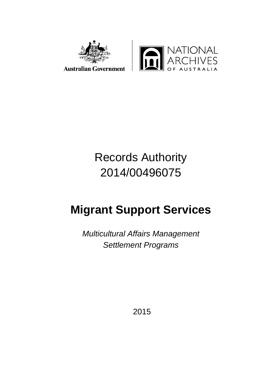

# Records Authority 2014/00496075

# **Migrant Support Services**

*Multicultural Affairs Management Settlement Programs* 

2015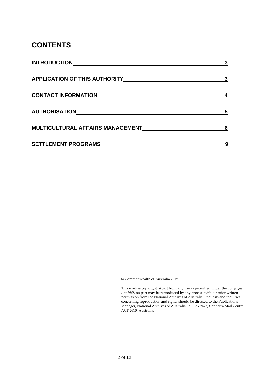### **CONTENTS**

| <b>INTRODUCTION</b>                  |  |
|--------------------------------------|--|
| <b>APPLICATION OF THIS AUTHORITY</b> |  |
| <b>CONTACT INFORMATION</b>           |  |
| <b>AUTHORISATION</b>                 |  |
| MULTICULTURAL AFFAIRS MANAGEMENT     |  |
| <b>SETTLEMENT PROGRAMS</b>           |  |

© Commonwealth of Australia 2015

This work is copyright. Apart from any use as permitted under the *Copyright Act 1968,* no part may be reproduced by any process without prior written permission from the National Archives of Australia. Requests and inquiries concerning reproduction and rights should be directed to the Publications Manager, National Archives of Australia, PO Box 7425, Canberra Mail Centre ACT 2610, Australia.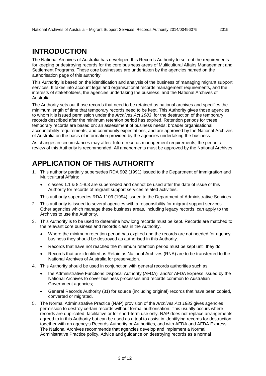### **INTRODUCTION**

The National Archives of Australia has developed this Records Authority to set out the requirements for keeping or destroying records for the core business areas of Multicultural Affairs Management and Settlement Programs. These core businesses are undertaken by the agencies named on the authorisation page of this authority.

This Authority is based on the identification and analysis of the business of managing migrant support services. It takes into account legal and organisational records management requirements, and the interests of stakeholders, the agencies undertaking the business, and the National Archives of Australia.

The Authority sets out those records that need to be retained as national archives and specifies the minimum length of time that temporary records need to be kept. This Authority gives those agencies to whom it is issued permission under the *Archives Act 1983*, for the destruction of the temporary records described after the minimum retention period has expired. Retention periods for these temporary records are based on: an assessment of business needs; broader organisational accountability requirements; and community expectations, and are approved by the National Archives of Australia on the basis of information provided by the agencies undertaking the business.

As changes in circumstances may affect future records management requirements, the periodic review of this Authority is recommended. All amendments must be approved by the National Archives.

## **APPLICATION OF THIS AUTHORITY**

- 1. This authority partially supersedes RDA 902 (1991) issued to the Department of Immigration and Multicultural Affairs:
	- classes 1.1 & 8.1-8.3 are superseded and cannot be used after the date of issue of this Authority for records of migrant support services related activities.

This authority supersedes RDA 1109 (1994) issued to the Department of Administrative Services.

- 2. This authority is issued to several agencies with a responsibility for migrant support services. Other agencies which manage these business areas, including legacy records, can apply to the Archives to use the Authority.
- 3. This Authority is to be used to determine how long records must be kept. Records are matched to the relevant core business and records class in the Authority.
	- Where the minimum retention period has expired and the records are not needed for agency business they should be destroyed as authorised in this Authority.
	- Records that have not reached the minimum retention period must be kept until they do.
	- Records that are identified as Retain as National Archives (RNA) are to be transferred to the National Archives of Australia for preservation.
- 4. This Authority should be used in conjunction with general records authorities such as:
	- the Administrative Functions Disposal Authority (AFDA) and/or AFDA Express issued by the National Archives to cover business processes and records common to Australian Government agencies;
	- General Records Authority (31) for source (including original) records that have been copied, converted or migrated.
- 5. The Normal Administrative Practice (NAP) provision of the *Archives Act 1983* gives agencies permission to destroy certain records without formal authorisation. This usually occurs where records are duplicated, facilitative or for short-term use only. NAP does not replace arrangements agreed to in this Authority but can be used as a tool to assist in identifying records for destruction together with an agency's Records Authority or Authorities, and with AFDA and AFDA Express. The National Archives recommends that agencies develop and implement a Normal Administrative Practice policy. Advice and guidance on destroying records as a normal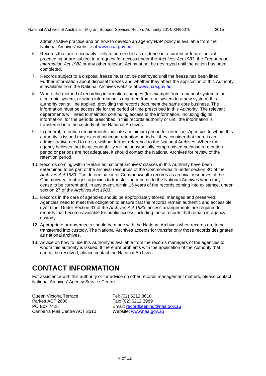administrative practice and on how to develop an agency NAP policy is available from the National Archives' website at [www.naa.gov.au.](http://www.naa.gov.au/)

- 6. Records that are reasonably likely to be needed as evidence in a current or future judicial proceeding or are subject to a request for access under the *Archives Act 1983*, the *Freedom of Information Act 1982* or any other relevant Act must not be destroyed until the action has been completed.
- 7. Records subject to a disposal freeze must not be destroyed until the freeze has been lifted. Further information about disposal freezes and whether they affect the application of this Authority is available from the National Archives website at [www.naa.gov.au.](http://www.naa.gov.au/)
- 8. Where the method of recording information changes (for example from a manual system to an electronic system, or when information is migrated from one system to a new system) this authority can still be applied, providing the records document the same core business. The information must be accessible for the period of time prescribed in this Authority. The relevant departments will need to maintain continuing access to the information, including digital information, for the periods prescribed in this records authority or until the information is transferred into the custody of the National Archives.
- 9. In general, retention requirements indicate a minimum period for retention. Agencies to whom this authority is issued may extend minimum retention periods if they consider that there is an administrative need to do so, without further reference to the National Archives. Where the agency believes that its accountability will be substantially compromised because a retention period or periods are not adequate, it should contact the National Archives for review of the retention period.
- 10. Records coming within 'Retain as national archives' classes in this Authority have been determined to be part of the archival resources of the Commonwealth under section 3C of the *Archives Act 1983*. The determination of Commonwealth records as archival resources of the Commonwealth obliges agencies to transfer the records to the National Archives when they cease to be current and, in any event, within 15 years of the records coming into existence, under section 27 of the *Archives Act 1983*.
- 11. Records in the care of agencies should be appropriately stored, managed and preserved. Agencies need to meet this obligation to ensure that the records remain authentic and accessible over time. Under Section 31 of the *Archives Act 1983*, access arrangements are required for records that become available for public access including those records that remain in agency custody.
- 12. Appropriate arrangements should be made with the National Archives when records are to be transferred into custody. The National Archives accepts for transfer only those records designated as national archives.
- 13. Advice on how to use this Authority is available from the records managers of the agencies to whom this authority is issued. If there are problems with the application of the Authority that cannot be resolved, please contact the National Archives.

### **CONTACT INFORMATION**

For assistance with this authority or for advice on other records management matters, please contact National Archives' Agency Service Centre.

Queen Victoria Terrace Tel: (02) 6212 3610<br>Parkes ACT 2600 Tax: (02) 6212 3989 Parkes ACT 2600 Fax: (02) 6212 3989<br>PO Box 7425 Fax: Email: recordkeeping Canberra Mail Centre ACT 2610 Website: [www.naa.gov.au](http://www.naa.gov.au/)

Email: [recordkeeping@naa.gov.au](mailto:recordkeeping@naa.gov.au)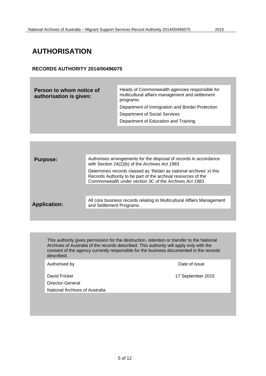### **AUTHORISATION**

#### **RECORDS AUTHORITY 2014/00496075**

| Person to whom notice of<br>authorisation is given: | Heads of Commonwealth agencies responsible for<br>multicultural affairs management and settlement<br>programs: |
|-----------------------------------------------------|----------------------------------------------------------------------------------------------------------------|
|                                                     | Department of Immigration and Border Protection                                                                |
|                                                     | Department of Social Services                                                                                  |
|                                                     | Department of Education and Training                                                                           |

| <b>Purpose:</b>     | Authorises arrangements for the disposal of records in accordance<br>with Section 24(2)(b) of the Archives Act 1983                                                                             |
|---------------------|-------------------------------------------------------------------------------------------------------------------------------------------------------------------------------------------------|
|                     | Determines records classed as 'Retain as national archives' in this<br>Records Authority to be part of the archival resources of the<br>Commonwealth under section 3C of the Archives Act 1983. |
|                     |                                                                                                                                                                                                 |
| <b>Application:</b> | All core business records relating to Multicultural Affairs Management<br>and Settlement Programs.                                                                                              |
|                     |                                                                                                                                                                                                 |

This authority gives permission for the destruction, retention or transfer to the National Archives of Australia of the records described. This authority will apply only with the consent of the agency currently responsible for the business documented in the records described.

Authorised by **Date of issue** 

David Fricker 17 September 2015

Director-General

National Archives of Australia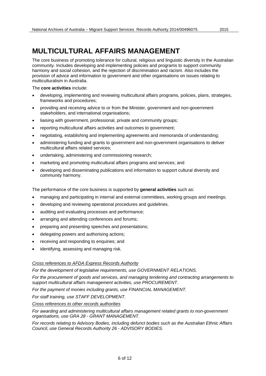### **MULTICULTURAL AFFAIRS MANAGEMENT**

The core business of promoting tolerance for cultural, religious and linguistic diversity in the Australian community. Includes developing and implementing policies and programs to support community harmony and social cohesion, and the rejection of discrimination and racism. Also includes the provision of advice and information to government and other organisations on issues relating to multiculturalism in Australia.

The **core activities** include:

- developing, implementing and reviewing multicultural affairs programs, policies, plans, strategies, frameworks and procedures;
- providing and receiving advice to or from the Minister, government and non-government stakeholders, and international organisations;
- liaising with government, professional, private and community groups;
- reporting multicultural affairs activities and outcomes to government;
- negotiating, establishing and implementing agreements and memoranda of understanding;
- administering funding and grants to government and non-government organisations to deliver multicultural affairs related services;
- undertaking, administering and commissioning research;
- marketing and promoting multicultural affairs programs and services; and
- developing and disseminating publications and information to support cultural diversity and community harmony.

The performance of the core business is supported by **general activities** such as:

- managing and participating in internal and external committees, working groups and meetings;
- developing and reviewing operational procedures and guidelines.
- auditing and evaluating processes and performance;
- arranging and attending conferences and forums;
- preparing and presenting speeches and presentations;
- delegating powers and authorising actions;
- receiving and responding to enquiries; and
- identifying, assessing and managing risk.

#### *Cross references to AFDA Express Records Authority*

*For the development of legislative requirements, use GOVERNMENT RELATIONS.*

*For the procurement of goods and services, and managing tendering and contracting arrangements to support multicultural affairs management activities, use PROCUREMENT.*

*For the payment of monies including grants, use FINANCIAL MANAGEMENT.*

*For staff training, use STAFF DEVELOPMENT.*

*Cross references to other records authorities*

*For awarding and administering multicultural affairs management related grants to non-government organisations, use GRA 28 - GRANT MANAGEMENT.*

*For records relating to Advisory Bodies, including defunct bodies such as the Australian Ethnic Affairs Council, use General Records Authority 26 - ADVISORY BODIES.*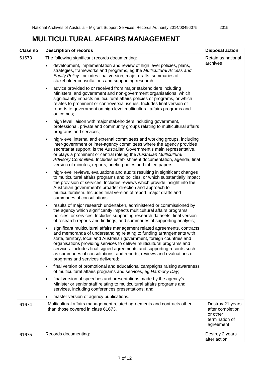## **MULTICULTURAL AFFAIRS MANAGEMENT**

| <b>Class no</b> | <b>Description of records</b>                                                                                                                                                                                                                                                                                                                                                                                                                                                                                | <b>Disposal action</b>                                                          |
|-----------------|--------------------------------------------------------------------------------------------------------------------------------------------------------------------------------------------------------------------------------------------------------------------------------------------------------------------------------------------------------------------------------------------------------------------------------------------------------------------------------------------------------------|---------------------------------------------------------------------------------|
| 61673           | The following significant records documenting:<br>development, implementation and review of high level policies, plans,<br>strategies, frameworks and programs, eg the Multicultural Access and<br>Equity Policy. Includes final version, major drafts, summaries of<br>stakeholder consultations and supporting research;                                                                                                                                                                                   | Retain as national<br>archives                                                  |
|                 | advice provided to or received from major stakeholders including<br>$\bullet$<br>Ministers, and government and non-government organisations, which<br>significantly impacts multicultural affairs policies or programs, or which<br>relates to prominent or controversial issues. Includes final version of<br>reports to government on high level multicultural affairs programs and<br>outcomes;                                                                                                           |                                                                                 |
|                 | high level liaison with major stakeholders including government,<br>$\bullet$<br>professional, private and community groups relating to multicultural affairs<br>programs and services;                                                                                                                                                                                                                                                                                                                      |                                                                                 |
|                 | high-level internal and external committees and working groups, including<br>$\bullet$<br>inter-government or inter-agency committees where the agency provides<br>secretariat support, is the Australian Government's main representative,<br>or plays a prominent or central role eg the Australian Multicultural<br>Advisory Committee. Includes establishment documentation, agenda, final<br>version of minutes, reports, briefing notes and tabled papers.                                             |                                                                                 |
|                 | high-level reviews, evaluations and audits resulting in significant changes<br>$\bullet$<br>to multicultural affairs programs and policies, or which substantially impact<br>the provision of services. Includes reviews which provide insight into the<br>Australian government's broader direction and approach to<br>multiculturalism. Includes final version of report, major drafts and<br>summaries of consultations;                                                                                  |                                                                                 |
|                 | results of major research undertaken, administered or commissioned by<br>$\bullet$<br>the agency which significantly impacts multicultural affairs programs,<br>policies, or services. Includes supporting research datasets, final version<br>of research reports and findings, and summaries of supporting analysis;                                                                                                                                                                                       |                                                                                 |
|                 | significant multicultural affairs management related agreements, contracts<br>$\bullet$<br>and memoranda of understanding relating to funding arrangements with<br>state, territory, local and Australian government, foreign countries and<br>organisations providing services to deliver multicultural programs and<br>services. Includes final signed agreements and supporting records such<br>as summaries of consultations and reports, reviews and evaluations of<br>programs and services delivered; |                                                                                 |
|                 | final version of promotional and educational campaigns raising awareness<br>$\bullet$<br>of multicultural affairs programs and services, eg Harmony Day;                                                                                                                                                                                                                                                                                                                                                     |                                                                                 |
|                 | final version of speeches and presentations made by the agency's<br>$\bullet$<br>Minister or senior staff relating to multicultural affairs programs and<br>services, including conferences presentations; and                                                                                                                                                                                                                                                                                               |                                                                                 |
|                 | master version of agency publications.                                                                                                                                                                                                                                                                                                                                                                                                                                                                       |                                                                                 |
| 61674           | Multicultural affairs management related agreements and contracts other<br>than those covered in class 61673.                                                                                                                                                                                                                                                                                                                                                                                                | Destroy 21 years<br>after completion<br>or other<br>termination of<br>agreement |
| 61675           | Records documenting:                                                                                                                                                                                                                                                                                                                                                                                                                                                                                         | Destroy 2 years<br>after action                                                 |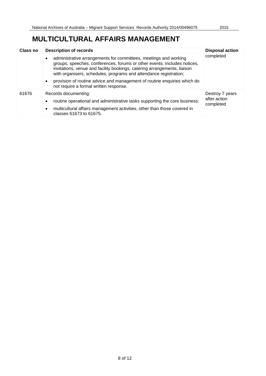## **MULTICULTURAL AFFAIRS MANAGEMENT**

| Class no | <b>Description of records</b>                                                                                                                                                                                                                                                                                                                                                                       | <b>Disposal action</b>                       |
|----------|-----------------------------------------------------------------------------------------------------------------------------------------------------------------------------------------------------------------------------------------------------------------------------------------------------------------------------------------------------------------------------------------------------|----------------------------------------------|
|          | administrative arrangements for committees, meetings and working<br>$\bullet$<br>groups, speeches, conferences, forums or other events. Includes notices,<br>invitations, venue and facility bookings, catering arrangements, liaison<br>with organisers, schedules, programs and attendance registration;<br>provision of routine advice and management of routine enquiries which do<br>$\bullet$ | completed                                    |
|          | not require a formal written response.                                                                                                                                                                                                                                                                                                                                                              |                                              |
| 61676    | Records documenting:<br>routine operational and administrative tasks supporting the core business;<br>$\bullet$<br>multicultural affairs management activities, other than those covered in<br>$\bullet$<br>classes 61673 to 61675.                                                                                                                                                                 | Destroy 7 years<br>after action<br>completed |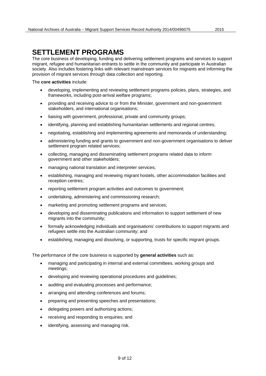The core business of developing, funding and delivering settlement programs and services to support migrant, refugee and humanitarian entrants to settle in the community and participate in Australian society. Also includes fostering links with relevant mainstream services for migrants and informing the provision of migrant services through data collection and reporting.

#### The **core activities** include:

- developing, implementing and reviewing settlement programs policies, plans, strategies, and frameworks, including post-arrival welfare programs;
- providing and receiving advice to or from the Minister, government and non-government stakeholders, and international organisations;
- liaising with government, professional, private and community groups;
- identifying, planning and establishing humanitarian settlements and regional centres;
- negotiating, establishing and implementing agreements and memoranda of understanding;
- administering funding and grants to government and non-government organisations to deliver settlement program related services;
- collecting, managing and disseminating settlement programs related data to inform government and other stakeholders;
- managing national translation and interpreter services;
- establishing, managing and reviewing migrant hostels, other accommodation facilities and reception centres;
- reporting settlement program activities and outcomes to government;
- undertaking, administering and commissioning research;
- marketing and promoting settlement programs and services;
- developing and disseminating publications and information to support settlement of new migrants into the community;
- formally acknowledging individuals and organisations' contributions to support migrants and refugees settle into the Australian community; and
- establishing, managing and dissolving, or supporting, trusts for specific migrant groups.

The performance of the core business is supported by **general activities** such as:

- managing and participating in internal and external committees, working groups and meetings;
- developing and reviewing operational procedures and guidelines;
- auditing and evaluating processes and performance;
- arranging and attending conferences and forums;
- preparing and presenting speeches and presentations;
- delegating powers and authorising actions;
- receiving and responding to enquiries; and
- identifying, assessing and managing risk.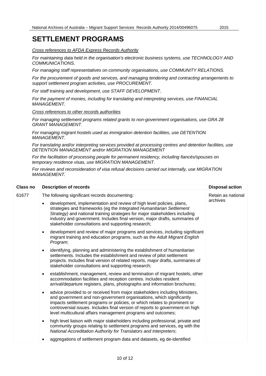*Cross references to AFDA Express Records Authority*

*For maintaining data held in the organisation's electronic business systems, use TECHNOLOGY AND COMMUNICATIONS.*

*For managing staff representatives on community organisations, use COMMUNITY RELATIONS.*

*For the procurement of goods and services, and managing tendering and contracting arrangements to support settlement program activities, use PROCUREMENT.*

*For staff training and development, use STAFF DEVELOPMENT.*

*For the payment of monies, including for translating and interpreting services, use FINANCIAL MANAGEMENT.*

*Cross references to other records authorities*

*For managing settlement programs related grants to non-government organisations, use GRA 28 GRANT MANAGEMENT.*

*For managing migrant hostels used as immigration detention facilities, use DETENTION MANAGEMENT.*

*For translating and/or interpreting services provided at processing centres and detention facilities, use DETENTION MANAGEMENT and/or MIGRATION MANAGEMENT*

*For the facilitation of processing people for permanent residency, including fiancés/spouses on temporary residence visas, use MIGRATION MANAGEMENT.*

*For reviews and reconsideration of visa refusal decisions carried out internally, use MIGRATION MANAGEMENT.*

| <b>Class no</b> | <b>Description of records</b>                                                                                                                                                                                                                                                                                                                                                                   | <b>Disposal action</b> |
|-----------------|-------------------------------------------------------------------------------------------------------------------------------------------------------------------------------------------------------------------------------------------------------------------------------------------------------------------------------------------------------------------------------------------------|------------------------|
| 61677           | The following significant records documenting:                                                                                                                                                                                                                                                                                                                                                  | Retain as national     |
|                 | development, implementation and review of high level policies, plans,<br>strategies and frameworks (eg the Integrated Humanitarian Settlement<br>Strategy) and national training strategies for major stakeholders including<br>industry and government. Includes final version, major drafts, summaries of<br>stakeholder consultations and supporting research;                               | archives               |
|                 | development and review of major programs and services, including significant<br>$\bullet$<br>migrant training and education programs, such as the Adult Migrant English<br>Program;                                                                                                                                                                                                             |                        |
|                 | identifying, planning and administering the establishment of humanitarian<br>$\bullet$<br>settlements. Includes the establishment and review of pilot settlement<br>projects. Includes final version of related reports, major drafts, summaries of<br>stakeholder consultations and supporting research;                                                                                       |                        |
|                 | establishment, management, review and termination of migrant hostels, other<br>$\bullet$<br>accommodation facilities and reception centres. Includes resident<br>arrival/departure registers, plans, photographs and information brochures;                                                                                                                                                     |                        |
|                 | advice provided to or received from major stakeholders including Ministers,<br>$\bullet$<br>and government and non-government organisations, which significantly<br>impacts settlement programs or policies, or which relates to prominent or<br>controversial issues. Includes final version of reports to government on high<br>level multicultural affairs management programs and outcomes; |                        |
|                 | high level liaison with major stakeholders including professional, private and<br>$\bullet$<br>community groups relating to settlement programs and services, eg with the<br>National Accreditation Authority for Translators and Interpreters;                                                                                                                                                 |                        |
|                 | aggregations of settlement program data and datasets, eg de-identified<br>$\bullet$                                                                                                                                                                                                                                                                                                             |                        |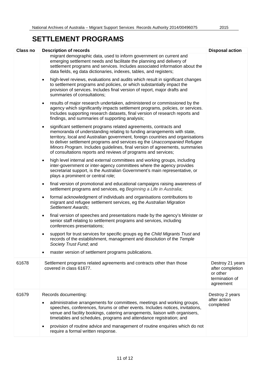| <b>Class no</b> | <b>Description of records</b>                                                                                                                                                                                                                                                                                                                                                                                                                                             | <b>Disposal action</b>                                                          |
|-----------------|---------------------------------------------------------------------------------------------------------------------------------------------------------------------------------------------------------------------------------------------------------------------------------------------------------------------------------------------------------------------------------------------------------------------------------------------------------------------------|---------------------------------------------------------------------------------|
|                 | migrant demographic data, used to inform government on current and<br>emerging settlement needs and facilitate the planning and delivery of<br>settlement programs and services. Includes associated information about the<br>data fields, eg data dictionaries, indexes, tables, and registers;                                                                                                                                                                          |                                                                                 |
|                 | high-level reviews, evaluations and audits which result in significant changes<br>$\bullet$<br>to settlement programs and policies, or which substantially impact the<br>provision of services. Includes final version of report, major drafts and<br>summaries of consultations;                                                                                                                                                                                         |                                                                                 |
|                 | results of major research undertaken, administered or commissioned by the<br>$\bullet$<br>agency which significantly impacts settlement programs, policies, or services.<br>Includes supporting research datasets, final version of research reports and<br>findings, and summaries of supporting analysis;                                                                                                                                                               |                                                                                 |
|                 | significant settlement programs related agreements, contracts and<br>$\bullet$<br>memoranda of understanding relating to funding arrangements with state,<br>territory, local and Australian government, foreign countries and organisations<br>to deliver settlement programs and services eg the Unaccompanied Refugee<br>Minors Program. Includes guidelines, final version of agreements, summaries<br>of consultations reports and reviews of programs and services; |                                                                                 |
|                 | high level internal and external committees and working groups, including<br>$\bullet$<br>inter-government or inter-agency committees where the agency provides<br>secretariat support, is the Australian Government's main representative, or<br>plays a prominent or central role;                                                                                                                                                                                      |                                                                                 |
|                 | final version of promotional and educational campaigns raising awareness of<br>$\bullet$<br>settlement programs and services, eg Beginning a Life in Australia;                                                                                                                                                                                                                                                                                                           |                                                                                 |
|                 | formal acknowledgment of individuals and organisations contributions to<br>migrant and refugee settlement services, eg the Australian Migration<br>Settlement Awards;                                                                                                                                                                                                                                                                                                     |                                                                                 |
|                 | final version of speeches and presentations made by the agency's Minister or<br>$\bullet$<br>senior staff relating to settlement programs and services, including<br>conferences presentations;                                                                                                                                                                                                                                                                           |                                                                                 |
|                 | support for trust services for specific groups eg the Child Migrants Trust and<br>records of the establishment, management and dissolution of the Temple<br>Society Trust Fund; and                                                                                                                                                                                                                                                                                       |                                                                                 |
|                 | master version of settlement programs publications.                                                                                                                                                                                                                                                                                                                                                                                                                       |                                                                                 |
| 61678           | Settlement programs related agreements and contracts other than those<br>covered in class 61677.                                                                                                                                                                                                                                                                                                                                                                          | Destroy 21 years<br>after completion<br>or other<br>termination of<br>agreement |
| 61679           | Records documenting:                                                                                                                                                                                                                                                                                                                                                                                                                                                      | Destroy 2 years                                                                 |
|                 | administrative arrangements for committees, meetings and working groups,<br>$\bullet$<br>speeches, conferences, forums or other events. Includes notices, invitations,<br>venue and facility bookings, catering arrangements, liaison with organisers,<br>timetables and schedules, programs and attendance registration; and                                                                                                                                             | after action<br>completed                                                       |
|                 | provision of routine advice and management of routine enquiries which do not<br>require a formal written response.                                                                                                                                                                                                                                                                                                                                                        |                                                                                 |